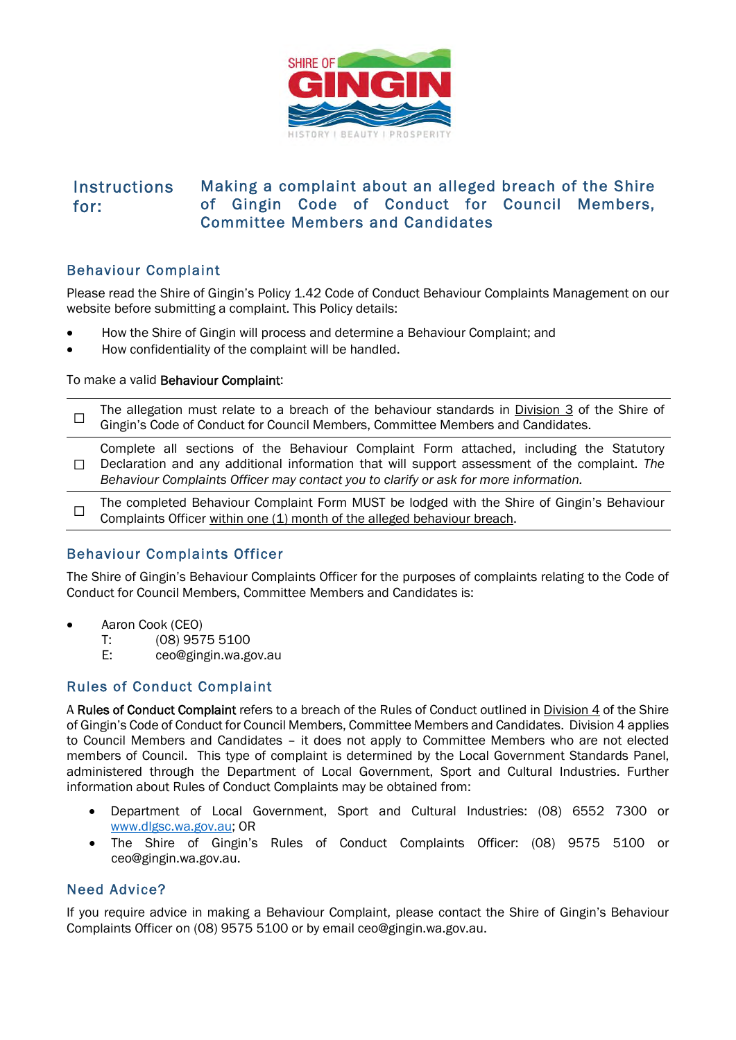

#### **Instructions** for: Making a complaint about an alleged breach of the Shire of Gingin Code of Conduct for Council Members, Committee Members and Candidates

# Behaviour Complaint

Please read the Shire of Gingin's Policy 1.42 Code of Conduct Behaviour Complaints Management on our website before submitting a complaint. This Policy details:

- How the Shire of Gingin will process and determine a Behaviour Complaint; and
- How confidentiality of the complaint will be handled.

### To make a valid Behaviour Complaint:

|  | The allegation must relate to a breach of the behaviour standards in Division 3 of the Shire of |
|--|-------------------------------------------------------------------------------------------------|
|  | $\Box$ Gingin's Code of Conduct for Council Members, Committee Members and Candidates.          |

☐ Declaration and any additional information that will support assessment of the complaint. *The*  Complete all sections of the Behaviour Complaint Form attached, including the Statutory *Behaviour Complaints Officer may contact you to clarify or ask for more information.* 

 $\Box$ The completed Behaviour Complaint Form MUST be lodged with the Shire of Gingin's Behaviour Complaints Officer within one (1) month of the alleged behaviour breach.

## Behaviour Complaints Officer

The Shire of Gingin's Behaviour Complaints Officer for the purposes of complaints relating to the Code of Conduct for Council Members, Committee Members and Candidates is:

- Aaron Cook (CEO)
	- T: (08) 9575 5100
	- E: ceo@gingin.wa.gov.au

# Rules of Conduct Complaint

A Rules of Conduct Complaint refers to a breach of the Rules of Conduct outlined in Division 4 of the Shire of Gingin's Code of Conduct for Council Members, Committee Members and Candidates. Division 4 applies to Council Members and Candidates – it does not apply to Committee Members who are not elected members of Council. This type of complaint is determined by the Local Government Standards Panel, administered through the Department of Local Government, Sport and Cultural Industries. Further information about Rules of Conduct Complaints may be obtained from:

- [Department of Loca](http://www.dlgsc.wa.gov.au/)l Government, Sport and Cultural Industries: (08) 6552 7300 or www.dlgsc.wa.gov.au; OR
- The Shire of Gingin's Rules of Conduct Complaints Officer: (08) 9575 5100 or ceo@gingin.wa.gov.au.

# Need Advice?

If you require advice in making a Behaviour Complaint, please contact the Shire of Gingin's Behaviour Complaints Officer on (08) 9575 5100 or by email ceo@gingin.wa.gov.au.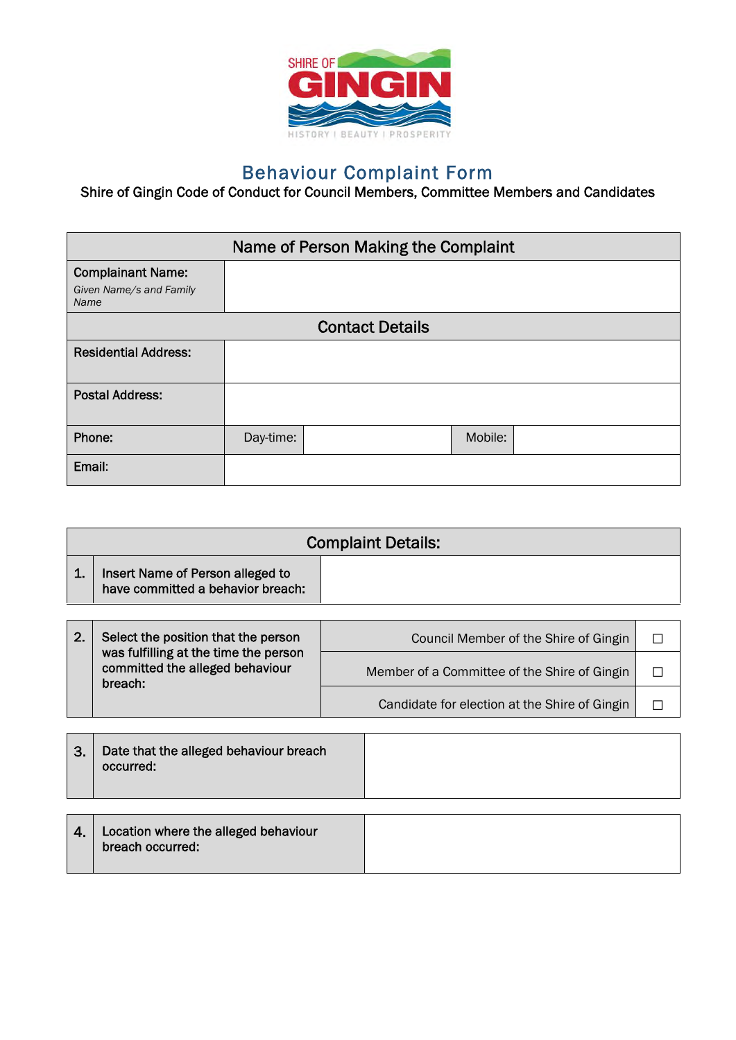

# Behaviour Complaint Form

Shire of Gingin Code of Conduct for Council Members, Committee Members and Candidates

|                                                     | Name of Person Making the Complaint |  |         |  |  |  |
|-----------------------------------------------------|-------------------------------------|--|---------|--|--|--|
| <b>Complainant Name:</b><br>Given Name/s and Family |                                     |  |         |  |  |  |
| Name                                                |                                     |  |         |  |  |  |
|                                                     | <b>Contact Details</b>              |  |         |  |  |  |
| <b>Residential Address:</b>                         |                                     |  |         |  |  |  |
| <b>Postal Address:</b>                              |                                     |  |         |  |  |  |
| Phone:                                              | Day-time:                           |  | Mobile: |  |  |  |
| Email:                                              |                                     |  |         |  |  |  |

|    | <b>Complaint Details:</b>                                             |  |  |  |  |  |
|----|-----------------------------------------------------------------------|--|--|--|--|--|
| 1. | Insert Name of Person alleged to<br>have committed a behavior breach: |  |  |  |  |  |
|    |                                                                       |  |  |  |  |  |
|    |                                                                       |  |  |  |  |  |

| 2. | Select the position that the person                                                 | Council Member of the Shire of Gingin         |  |
|----|-------------------------------------------------------------------------------------|-----------------------------------------------|--|
|    | was fulfilling at the time the person<br>committed the alleged behaviour<br>breach: | Member of a Committee of the Shire of Gingin  |  |
|    |                                                                                     | Candidate for election at the Shire of Gingin |  |

| 3.           | Date that the alleged behaviour breach<br>occurred:      |  |
|--------------|----------------------------------------------------------|--|
|              |                                                          |  |
| $\mathbf{4}$ | Location where the alleged behaviour<br>breach occurred: |  |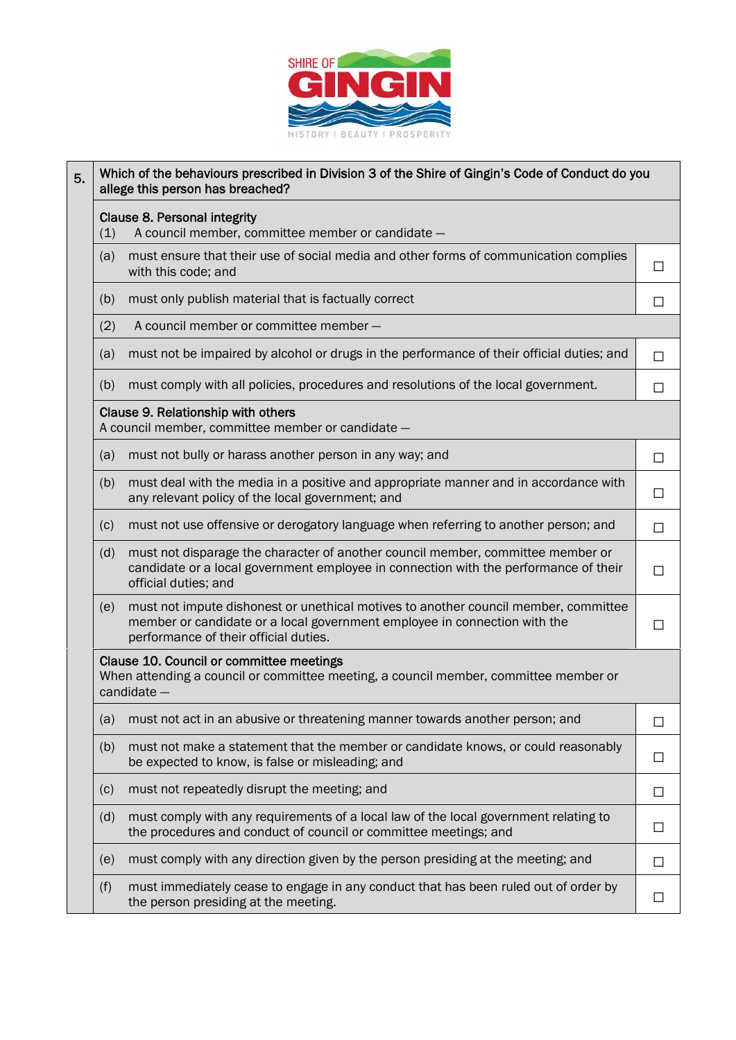

## $_{5.}$  Which of the behaviours prescribed in Division 3 of the Shire of Gingin's Code of Conduct do you allege this person has breached?

Clause 8. Personal integrity

(1) A council member, committee member or candidate —

| (a) | must ensure that their use of social media and other forms of communication complies<br>with this code; and |  |
|-----|-------------------------------------------------------------------------------------------------------------|--|
|     |                                                                                                             |  |

- (b) must only publish material that is factually correct  $\Box$
- (2) A council member or committee member —
- (a) must not be impaired by alcohol or drugs in the performance of their official duties; and  $\Box$
- (b) must comply with all policies, procedures and resolutions of the local government.  $\Box$

### Clause 9. Relationship with others

A council member, committee member or candidate —

- (a) must not bully or harass another person in any way; and  $\Box$
- (b) must deal with the media in a positive and appropriate manner and in accordance with any relevant policy of the local government; and  $□$
- (c) must not use offensive or derogatory language when referring to another person; and  $\Box$ (d) must not disparage the character of another council member, committee member or candidate or a local government employee in connection with the performance of their official duties; and ☐
- (e) must not impute dishonest or unethical motives to another council member, committee member or candidate or a local government employee in connection with the performance of their official duties.

 $\Box$ 

### Clause 10. Council or committee meetings

When attending a council or committee meeting, a council member, committee member or candidate —

| (a) | must not act in an abusive or threatening manner towards another person; and                                                                             |  |
|-----|----------------------------------------------------------------------------------------------------------------------------------------------------------|--|
| (b) | must not make a statement that the member or candidate knows, or could reasonably<br>be expected to know, is false or misleading; and                    |  |
| (c) | must not repeatedly disrupt the meeting; and                                                                                                             |  |
| (d) | must comply with any requirements of a local law of the local government relating to<br>the procedures and conduct of council or committee meetings; and |  |
| (e) | must comply with any direction given by the person presiding at the meeting; and                                                                         |  |
| (f) | must immediately cease to engage in any conduct that has been ruled out of order by<br>the person presiding at the meeting.                              |  |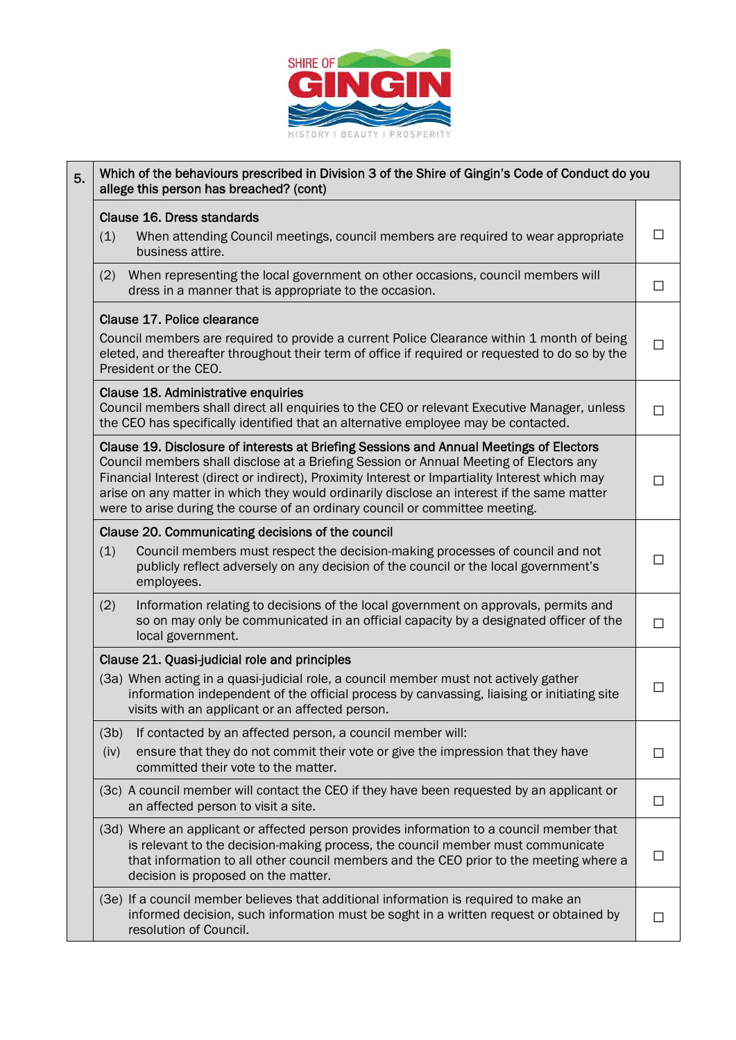

| 5. | Which of the behaviours prescribed in Division 3 of the Shire of Gingin's Code of Conduct do you<br>allege this person has breached? (cont)                                                                                                                                                                                                                                                                                                                       |        |  |  |  |  |
|----|-------------------------------------------------------------------------------------------------------------------------------------------------------------------------------------------------------------------------------------------------------------------------------------------------------------------------------------------------------------------------------------------------------------------------------------------------------------------|--------|--|--|--|--|
|    | Clause 16. Dress standards                                                                                                                                                                                                                                                                                                                                                                                                                                        |        |  |  |  |  |
|    | (1)<br>When attending Council meetings, council members are required to wear appropriate<br>business attire.                                                                                                                                                                                                                                                                                                                                                      | $\Box$ |  |  |  |  |
|    | When representing the local government on other occasions, council members will<br>(2)<br>dress in a manner that is appropriate to the occasion.                                                                                                                                                                                                                                                                                                                  | $\Box$ |  |  |  |  |
|    | Clause 17. Police clearance                                                                                                                                                                                                                                                                                                                                                                                                                                       |        |  |  |  |  |
|    | Council members are required to provide a current Police Clearance within 1 month of being<br>eleted, and thereafter throughout their term of office if required or requested to do so by the<br>President or the CEO.                                                                                                                                                                                                                                            | П      |  |  |  |  |
|    | Clause 18. Administrative enquiries<br>Council members shall direct all enquiries to the CEO or relevant Executive Manager, unless<br>the CEO has specifically identified that an alternative employee may be contacted.                                                                                                                                                                                                                                          | П      |  |  |  |  |
|    | Clause 19. Disclosure of interests at Briefing Sessions and Annual Meetings of Electors<br>Council members shall disclose at a Briefing Session or Annual Meeting of Electors any<br>Financial Interest (direct or indirect), Proximity Interest or Impartiality Interest which may<br>arise on any matter in which they would ordinarily disclose an interest if the same matter<br>were to arise during the course of an ordinary council or committee meeting. |        |  |  |  |  |
|    | Clause 20. Communicating decisions of the council                                                                                                                                                                                                                                                                                                                                                                                                                 |        |  |  |  |  |
|    | (1)<br>Council members must respect the decision-making processes of council and not<br>publicly reflect adversely on any decision of the council or the local government's<br>employees.                                                                                                                                                                                                                                                                         | $\Box$ |  |  |  |  |
|    | (2)<br>Information relating to decisions of the local government on approvals, permits and<br>so on may only be communicated in an official capacity by a designated officer of the<br>local government.                                                                                                                                                                                                                                                          | $\Box$ |  |  |  |  |
|    | Clause 21. Quasi-judicial role and principles                                                                                                                                                                                                                                                                                                                                                                                                                     |        |  |  |  |  |
|    | (3a) When acting in a quasi-judicial role, a council member must not actively gather<br>information independent of the official process by canvassing, liaising or initiating site<br>visits with an applicant or an affected person.                                                                                                                                                                                                                             | $\Box$ |  |  |  |  |
|    | If contacted by an affected person, a council member will:<br>(3b)                                                                                                                                                                                                                                                                                                                                                                                                |        |  |  |  |  |
|    | ensure that they do not commit their vote or give the impression that they have<br>(iv)<br>committed their vote to the matter.                                                                                                                                                                                                                                                                                                                                    | $\Box$ |  |  |  |  |
|    | (3c) A council member will contact the CEO if they have been requested by an applicant or<br>an affected person to visit a site.                                                                                                                                                                                                                                                                                                                                  | $\Box$ |  |  |  |  |
|    |                                                                                                                                                                                                                                                                                                                                                                                                                                                                   |        |  |  |  |  |

(3d) Where an applicant or affected person provides information to a council member that is relevant to the decision-making process, the council member must communicate that information to all other council members and the CEO prior to the meeting where a decision is proposed on the matter.  $\Box$ 

(3e) If a council member believes that additional information is required to make an informed decision, such information must be soght in a written request or obtained by resolution of Council.

 $\Box$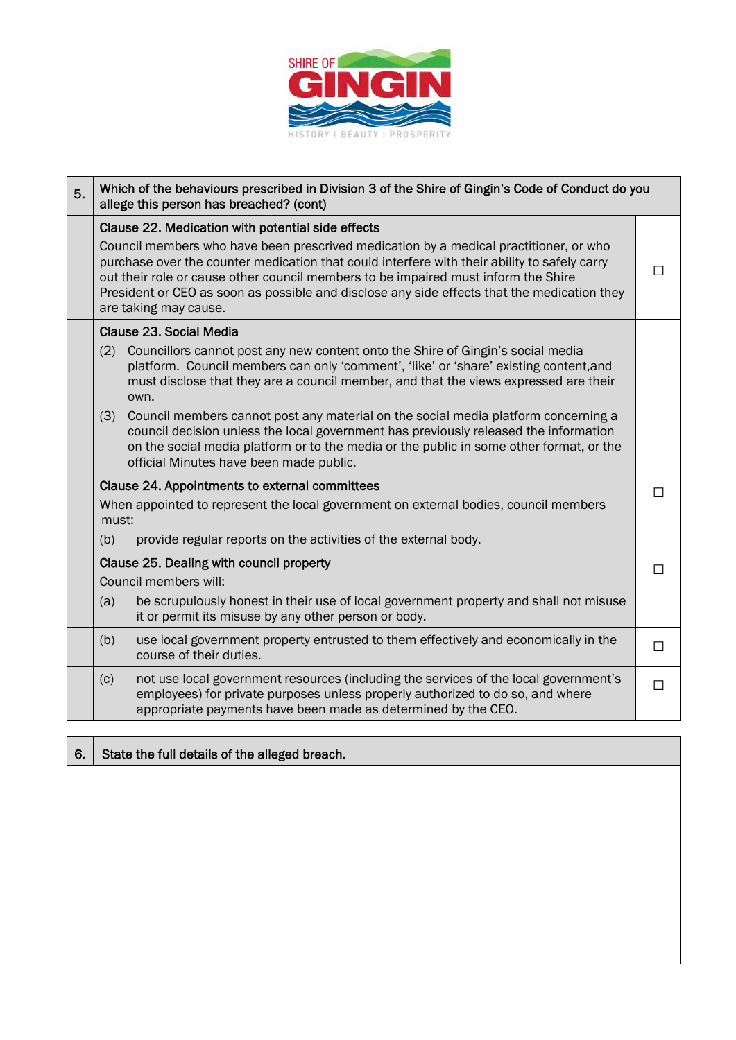

| 5. | Which of the behaviours prescribed in Division 3 of the Shire of Gingin's Code of Conduct do you<br>allege this person has breached? (cont)                                                                                                                                                                                                                                                         |                                                                                                                                                                                                                                                                                                                  |        |  |  |
|----|-----------------------------------------------------------------------------------------------------------------------------------------------------------------------------------------------------------------------------------------------------------------------------------------------------------------------------------------------------------------------------------------------------|------------------------------------------------------------------------------------------------------------------------------------------------------------------------------------------------------------------------------------------------------------------------------------------------------------------|--------|--|--|
|    | Clause 22. Medication with potential side effects                                                                                                                                                                                                                                                                                                                                                   |                                                                                                                                                                                                                                                                                                                  |        |  |  |
|    | Council members who have been prescrived medication by a medical practitioner, or who<br>purchase over the counter medication that could interfere with their ability to safely carry<br>out their role or cause other council members to be impaired must inform the Shire<br>President or CEO as soon as possible and disclose any side effects that the medication they<br>are taking may cause. |                                                                                                                                                                                                                                                                                                                  |        |  |  |
|    |                                                                                                                                                                                                                                                                                                                                                                                                     | Clause 23, Social Media                                                                                                                                                                                                                                                                                          |        |  |  |
|    | (2)                                                                                                                                                                                                                                                                                                                                                                                                 | Councillors cannot post any new content onto the Shire of Gingin's social media<br>platform. Council members can only 'comment', 'like' or 'share' existing content, and<br>must disclose that they are a council member, and that the views expressed are their<br>own.                                         |        |  |  |
|    | (3)                                                                                                                                                                                                                                                                                                                                                                                                 | Council members cannot post any material on the social media platform concerning a<br>council decision unless the local government has previously released the information<br>on the social media platform or to the media or the public in some other format, or the<br>official Minutes have been made public. |        |  |  |
|    | Clause 24. Appointments to external committees                                                                                                                                                                                                                                                                                                                                                      |                                                                                                                                                                                                                                                                                                                  |        |  |  |
|    | must:                                                                                                                                                                                                                                                                                                                                                                                               | When appointed to represent the local government on external bodies, council members                                                                                                                                                                                                                             | $\Box$ |  |  |
|    | (b)                                                                                                                                                                                                                                                                                                                                                                                                 | provide regular reports on the activities of the external body.                                                                                                                                                                                                                                                  |        |  |  |
|    |                                                                                                                                                                                                                                                                                                                                                                                                     | Clause 25. Dealing with council property                                                                                                                                                                                                                                                                         | □      |  |  |
|    |                                                                                                                                                                                                                                                                                                                                                                                                     | Council members will:                                                                                                                                                                                                                                                                                            |        |  |  |
|    | (a)                                                                                                                                                                                                                                                                                                                                                                                                 | be scrupulously honest in their use of local government property and shall not misuse<br>it or permit its misuse by any other person or body.                                                                                                                                                                    |        |  |  |
|    | (b)                                                                                                                                                                                                                                                                                                                                                                                                 | use local government property entrusted to them effectively and economically in the<br>course of their duties.                                                                                                                                                                                                   | П      |  |  |
|    | (c)                                                                                                                                                                                                                                                                                                                                                                                                 | not use local government resources (including the services of the local government's<br>employees) for private purposes unless properly authorized to do so, and where<br>appropriate payments have been made as determined by the CEO.                                                                          | $\Box$ |  |  |

6. State the full details of the alleged breach.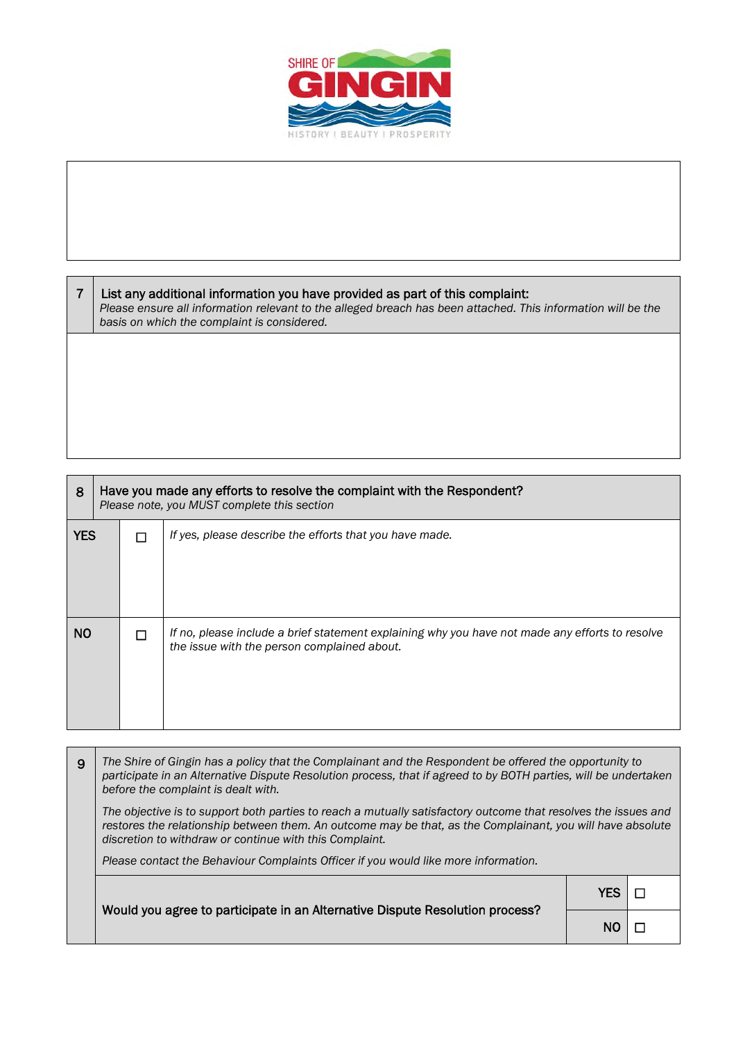

| List any additional information you have provided as part of this complaint:<br>Please ensure all information relevant to the alleged breach has been attached. This information will be the<br>basis on which the complaint is considered. |
|---------------------------------------------------------------------------------------------------------------------------------------------------------------------------------------------------------------------------------------------|
|                                                                                                                                                                                                                                             |
|                                                                                                                                                                                                                                             |

| 8          | Have you made any efforts to resolve the complaint with the Respondent?<br>Please note, you MUST complete this section |  |                                                                                                                                                |  |
|------------|------------------------------------------------------------------------------------------------------------------------|--|------------------------------------------------------------------------------------------------------------------------------------------------|--|
| <b>YES</b> |                                                                                                                        |  | If yes, please describe the efforts that you have made.                                                                                        |  |
| NO.        |                                                                                                                        |  | If no, please include a brief statement explaining why you have not made any efforts to resolve<br>the issue with the person complained about. |  |

9 *The Shire of Gingin has a policy that the Complainant and the Respondent be offered the opportunity to participate in an Alternative Dispute Resolution process, that if agreed to by BOTH parties, will be undertaken before the complaint is dealt with. The objective is to support both parties to reach a mutually satisfactory outcome that resolves the issues and restores the relationship between them. An outcome may be that, as the Complainant, you will have absolute discretion to withdraw or continue with this Complaint. Please contact the Behaviour Complaints Officer if you would like more information.*  YES │ □

|                                                                              | 1 E.D. I LI |  |
|------------------------------------------------------------------------------|-------------|--|
| Would you agree to participate in an Alternative Dispute Resolution process? | $NO$ $\Box$ |  |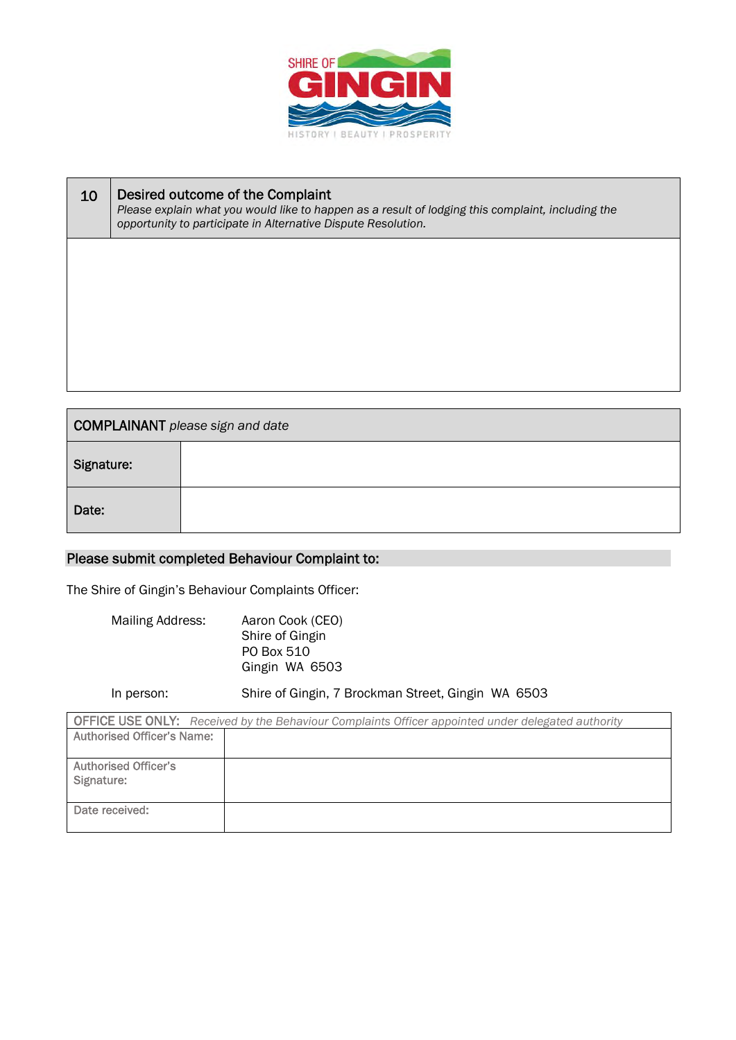

| 10 | Desired outcome of the Complaint<br>Please explain what you would like to happen as a result of lodging this complaint, including the<br>opportunity to participate in Alternative Dispute Resolution. |
|----|--------------------------------------------------------------------------------------------------------------------------------------------------------------------------------------------------------|
|    |                                                                                                                                                                                                        |
|    |                                                                                                                                                                                                        |
|    |                                                                                                                                                                                                        |
|    |                                                                                                                                                                                                        |
|    |                                                                                                                                                                                                        |

| COMPLAINANT please sign and date |  |  |
|----------------------------------|--|--|
| Signature:                       |  |  |
| Date:                            |  |  |

# Please submit completed Behaviour Complaint to:

The Shire of Gingin's Behaviour Complaints Officer:

Mailing Address: Aaron Cook (CEO) Shire of Gingin PO Box 510 Gingin WA 6503

In person: Shire of Gingin, 7 Brockman Street, Gingin WA 6503

| <b>OFFICE USE ONLY:</b> Received by the Behaviour Complaints Officer appointed under delegated authority |  |  |
|----------------------------------------------------------------------------------------------------------|--|--|
| <b>Authorised Officer's Name:</b>                                                                        |  |  |
|                                                                                                          |  |  |
| <b>Authorised Officer's</b>                                                                              |  |  |
| Signature:                                                                                               |  |  |
|                                                                                                          |  |  |
| Date received:                                                                                           |  |  |
|                                                                                                          |  |  |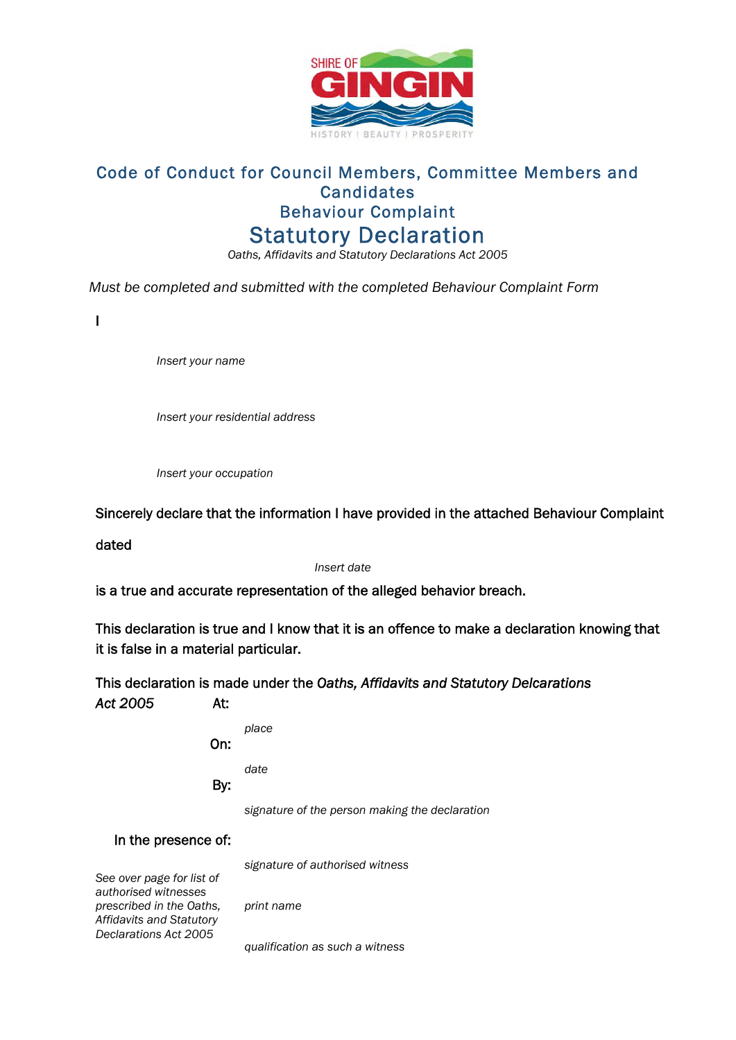

# Code of Conduct for Council Members, Committee Members and **Candidates** Behaviour Complaint Statutory Declaration

*Oaths, Affidavits and Statutory Declarations Act 2005* 

*Must be completed and submitted with the completed Behaviour Complaint Form* 

I

*Insert your name*

*Insert your residential address*

*Insert your occupation*

Sincerely declare that the information I have provided in the attached Behaviour Complaint

dated

*Insert date*

is a true and accurate representation of the alleged behavior breach.

This declaration is true and I know that it is an offence to make a declaration knowing that it is false in a material particular.

This declaration is made under the *Oaths, Affidavits and Statutory Delcarations Act 2005* At:

| On: | place                                          |
|-----|------------------------------------------------|
|     | date                                           |
| By: | signature of the person making the declaration |

In the presence of:

*signature of authorised witness*

*See over page for list of authorised witnesses prescribed in the Oaths, Affidavits and Statutory Declarations Act 2005* 

*print name* 

*qualification as such a witness*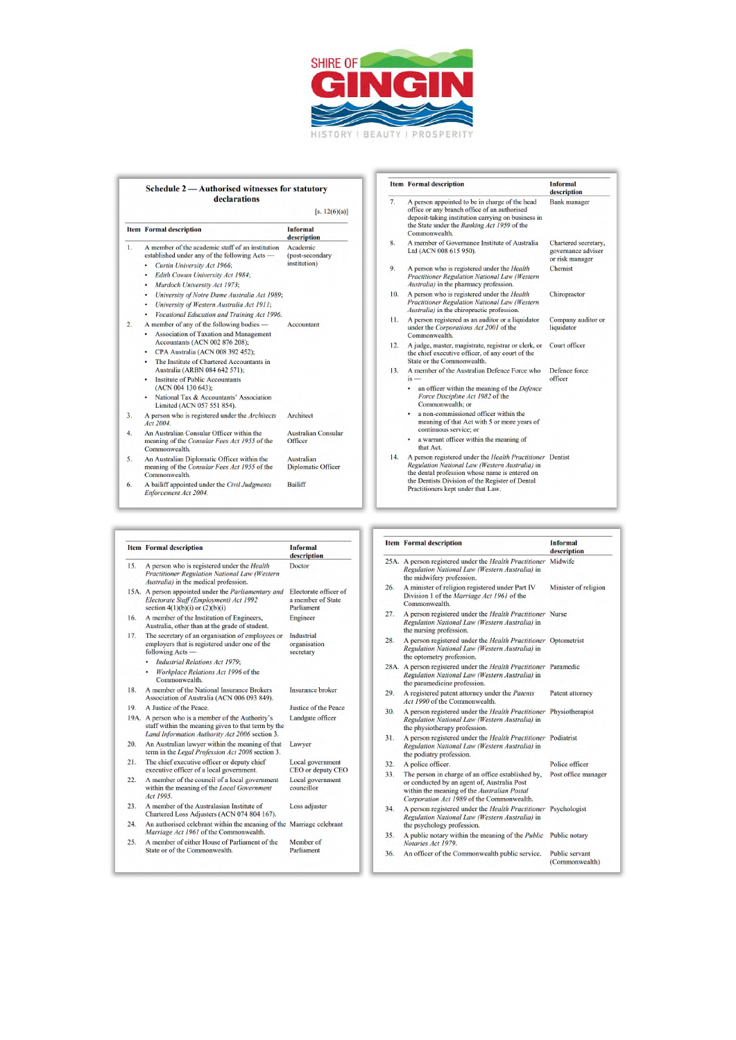

### Schedule 2 - Authorised witnesses for statutory declarations [s.  $12(6)(a)$ ]

|    | <b>Item</b> Formal description                                                                             | <b>Informal</b><br>description        |
|----|------------------------------------------------------------------------------------------------------------|---------------------------------------|
| 1. | A member of the academic staff of an institution<br>established under any of the following Acts -          | Academic<br>(post-secondary           |
|    | Curtin University Act 1966;<br>٠                                                                           | institution)                          |
|    | Edith Cowan University Act 1984;<br>٠                                                                      |                                       |
|    | Murdoch University Act 1973;<br>٠                                                                          |                                       |
|    | University of Notre Dame Australia Act 1989;<br>٠                                                          |                                       |
|    | University of Western Australia Act 1911;<br>٠                                                             |                                       |
|    | Vocational Education and Training Act 1996.<br>٠                                                           |                                       |
| 2. | A member of any of the following bodies —                                                                  | Accountant                            |
|    | Association of Taxation and Management<br>Accountants (ACN 002 876 208);                                   |                                       |
|    | CPA Australia (ACN 008 392 452);<br>٠                                                                      |                                       |
|    | The Institute of Chartered Accountants in<br>$\bullet$<br>Australia (ARBN 084 642 571);                    |                                       |
|    | <b>Institute of Public Accountants</b><br>٠<br>(ACN 004 130 643):                                          |                                       |
|    | National Tax & Accountants' Association<br>٠<br>Limited (ACN 057 551 854).                                 |                                       |
| 3. | A person who is registered under the Architects<br>Act 2004.                                               | Architect                             |
| 4. | An Australian Consular Officer within the<br>meaning of the Consular Fees Act 1955 of the<br>Commonwealth. | <b>Australian Consular</b><br>Officer |
| 5. | An Australian Diplomatic Officer within the                                                                | Australian                            |

#### An Australian Diplomatic Officer within the<br>meaning of the *Consular Fees Act 1955* of the<br>Commonwealth. Diplomatic Officer A bailiff appointed under the Civil Judgments  $Enforcement$  Act 2004.  $6<sup>6</sup>$ Bailiff

|     | <b>Item</b> Formal description                                                                                                                           | <b>Informal</b><br>description                           |
|-----|----------------------------------------------------------------------------------------------------------------------------------------------------------|----------------------------------------------------------|
| 15. | A person who is registered under the Health<br>Practitioner Regulation National Law (Western<br>Australia) in the medical profession.                    | Doctor                                                   |
|     | 15A. A person appointed under the Parliamentary and<br>Electorate Staff (Employment) Act 1992<br>section $4(1)(b)(i)$ or $(2)(b)(i)$                     | Electorate officer of<br>a member of State<br>Parliament |
| 16. | A member of the Institution of Engineers,<br>Australia, other than at the grade of student.                                                              | Engineer                                                 |
| 17. | The secretary of an organisation of employees or<br>employers that is registered under one of the<br>following Acts -                                    | Industrial<br>organisation<br>secretary                  |
|     | Industrial Relations Act 1979;                                                                                                                           |                                                          |
|     | Workplace Relations Act 1996 of the<br>۰<br>Commonwealth.                                                                                                |                                                          |
| 18. | A member of the National Insurance Brokers<br>Association of Australia (ACN 006 093 849).                                                                | <b>Insurance</b> broker                                  |
| 19. | A Justice of the Peace.                                                                                                                                  | Justice of the Peace                                     |
|     | 19A. A person who is a member of the Authority's<br>staff within the meaning given to that term by the<br>Land Information Authority Act 2006 section 3. | Landgate officer                                         |
| 20. | An Australian lawyer within the meaning of that<br>term in the Legal Profession Act 2008 section 3.                                                      | Lawyer                                                   |
| 21. | The chief executive officer or deputy chief<br>executive officer of a local government.                                                                  | Local government<br>CEO or deputy CEO                    |
| 22. | A member of the council of a local government<br>within the meaning of the Local Government<br>Act 1995.                                                 | Local government<br>councillor                           |
| 23. | A member of the Australasian Institute of<br>Chartered Loss Adjusters (ACN 074 804 167).                                                                 | Loss adjuster                                            |
| 24. | An authorised celebrant within the meaning of the Marriage celebrant<br>Marriage Act 1961 of the Commonwealth.                                           |                                                          |
| 25. | A member of either House of Parliament of the<br>State or of the Commonwealth.                                                                           | Member of<br>Parliament                                  |

|     | <b>Item Formal description</b>                                                                                                                                                                                                                         | <b>Informal</b><br>description                                |
|-----|--------------------------------------------------------------------------------------------------------------------------------------------------------------------------------------------------------------------------------------------------------|---------------------------------------------------------------|
| 7.  | A person appointed to be in charge of the head<br>office or any branch office of an authorised<br>deposit-taking institution carrying on business in<br>the State under the Banking Act 1959 of the<br>Commonwealth.                                   | <b>Bank</b> manager                                           |
| 8.  | A member of Governance Institute of Australia<br>Ltd (ACN 008 615 950).                                                                                                                                                                                | Chartered secretary,<br>governance adviser<br>or risk manager |
| 9.  | A person who is registered under the <i>Health</i><br><b>Practitioner Regulation National Law (Western</b><br>Australia) in the pharmacy profession.                                                                                                   | Chemist                                                       |
| 10. | A person who is registered under the <i>Health</i><br>Practitioner Regulation National Law (Western<br>Australia) in the chiropractic profession.                                                                                                      | Chiropractor                                                  |
| 11. | A person registered as an auditor or a liquidator<br>under the Corporations Act 2001 of the<br>Commonwealth.                                                                                                                                           | Company auditor or<br>liquidator                              |
| 12. | A judge, master, magistrate, registrar or clerk, or<br>the chief executive officer, of any court of the<br>State or the Commonwealth.                                                                                                                  | Court officer                                                 |
| 13. | A member of the Australian Defence Force who<br>$is -$                                                                                                                                                                                                 | Defence force<br>officer                                      |
|     | an officer within the meaning of the Defence<br>٠<br>Force Discipline Act 1982 of the<br>Commonwealth: or                                                                                                                                              |                                                               |
|     | a non-commissioned officer within the<br>meaning of that Act with 5 or more years of<br>continuous service; or                                                                                                                                         |                                                               |
|     | a warrant officer within the meaning of<br>that Act.                                                                                                                                                                                                   |                                                               |
| 14. | A person registered under the Health Practitioner Dentist<br>Regulation National Law (Western Australia) in<br>the dental profession whose name is entered on<br>the Dentists Division of the Register of Dental<br>Practitioners kept under that Law. |                                                               |

#### **Item Formal description** Informal description 25A. A person registered under the Health Practitioner<br>Regulation National Law (Western Australia) in Midwife the midwifery profession. 26. A minister of religion registered under Part IV Minister of religion Division 1 of the *Marriage Act 1961* of the Commonwealth.  $27.$ A person registered under the Health Practitioner Nurse Regulation National Law (Western Australia) in<br>the nursing profession. A person registered under the *Health Practitioner* Optometrist *Regulation National Law (Western Australia)* in the optometry profession. 28. 28A. A person registered under the Health Practitioner Paramedic Regulation National Law (Western Australia) in<br>the paramedicine profession. A registered patent attorney under the Patents<br>Act 1990 of the Commonwealth. 29. Patent attorney A person registered under the *Health Practitioner* Physiotherapist  $30.$ Regulation National Law (Western Australia) in<br>the physiotherapy profession. A person registered under the *Health Practitioner* Podiatrist<br>Regulation National Law (Western Australia) in  $31.$ the podiatry profession. A police officer.  $32.$ Police officer Police officer<br>The preson in charge of an office established by, Post office manager<br>The present in conducted by an agent of, Australian Postal<br>within the meaning of the *Australian Postal*<br>Corporation Act 1989 of the Comm  $33.$ A person registered under the *Health Practitioner* Psychologist 34. Regulation National Law (Western Australia) in<br>the psychology profession. A public notary within the meaning of the *Public* Public notary Notaries Act 1979. 35. 36. An officer of the Commonwealth public service. Public servant (Commonwealth)